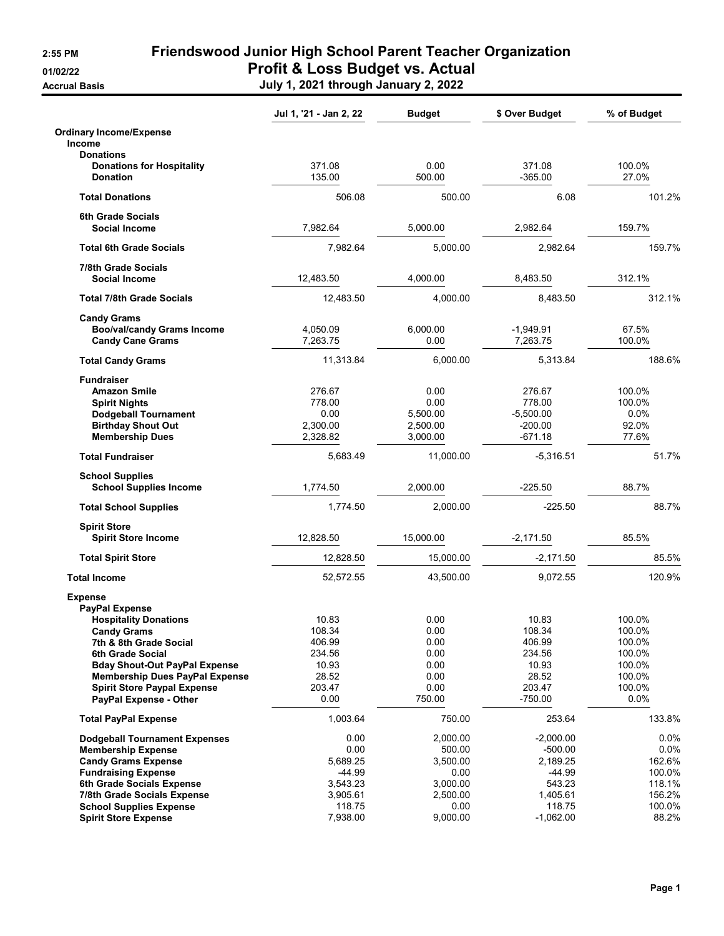**Accrual Basis** 

2:55 PM Friendswood Junior High School Parent Teacher Organization 01/02/22 **Profit & Loss Budget vs. Actual** 

| July 1, 2021 through January 2, 2022 |  |  |
|--------------------------------------|--|--|

|                                                    | Jul 1, '21 - Jan 2, 22 | <b>Budget</b> | \$ Over Budget   | % of Budget      |
|----------------------------------------------------|------------------------|---------------|------------------|------------------|
| <b>Ordinary Income/Expense</b><br><b>Income</b>    |                        |               |                  |                  |
| <b>Donations</b>                                   |                        |               |                  |                  |
| <b>Donations for Hospitality</b>                   | 371.08                 | 0.00          | 371.08           | 100.0%           |
| <b>Donation</b>                                    | 135.00                 | 500.00        | $-365.00$        | 27.0%            |
| <b>Total Donations</b>                             | 506.08                 | 500.00        | 6.08             | 101.2%           |
| <b>6th Grade Socials</b>                           |                        |               |                  |                  |
| Social Income                                      | 7,982.64               | 5,000.00      | 2,982.64         | 159.7%           |
| <b>Total 6th Grade Socials</b>                     | 7.982.64               | 5,000.00      | 2,982.64         | 159.7%           |
| <b>7/8th Grade Socials</b><br><b>Social Income</b> | 12,483.50              | 4,000.00      | 8,483.50         | 312.1%           |
| <b>Total 7/8th Grade Socials</b>                   | 12,483.50              | 4,000.00      | 8,483.50         | 312.1%           |
| <b>Candy Grams</b>                                 |                        |               |                  |                  |
| <b>Boo/val/candy Grams Income</b>                  | 4,050.09               | 6,000.00      | $-1,949.91$      | 67.5%            |
| <b>Candy Cane Grams</b>                            | 7,263.75               | 0.00          | 7,263.75         | 100.0%           |
| <b>Total Candy Grams</b>                           | 11,313.84              | 6,000.00      | 5,313.84         | 188.6%           |
| <b>Fundraiser</b>                                  |                        |               |                  |                  |
| <b>Amazon Smile</b>                                | 276.67                 | 0.00          | 276.67           | 100.0%           |
| <b>Spirit Nights</b>                               | 778.00                 | 0.00          | 778.00           | 100.0%           |
| <b>Dodgeball Tournament</b>                        | 0.00                   | 5,500.00      | $-5.500.00$      | $0.0\%$          |
| <b>Birthday Shout Out</b>                          | 2,300.00               | 2,500.00      | $-200.00$        | 92.0%            |
| <b>Membership Dues</b>                             | 2,328.82               | 3,000.00      | $-671.18$        | 77.6%            |
| <b>Total Fundraiser</b>                            | 5,683.49               | 11,000.00     | -5,316.51        | 51.7%            |
| <b>School Supplies</b>                             |                        |               |                  |                  |
| <b>School Supplies Income</b>                      | 1,774.50               | 2,000.00      | $-225.50$        | 88.7%            |
| <b>Total School Supplies</b>                       | 1,774.50               | 2,000.00      | $-225.50$        | 88.7%            |
| <b>Spirit Store</b>                                |                        |               |                  |                  |
| <b>Spirit Store Income</b>                         | 12,828.50              | 15,000.00     | $-2,171.50$      | 85.5%            |
| <b>Total Spirit Store</b>                          | 12.828.50              | 15,000.00     | $-2,171.50$      | 85.5%            |
| <b>Total Income</b>                                | 52,572.55              | 43,500.00     | 9,072.55         | 120.9%           |
| <b>Expense</b>                                     |                        |               |                  |                  |
| <b>PayPal Expense</b>                              |                        |               |                  |                  |
| <b>Hospitality Donations</b>                       | 10.83                  | 0.00          | 10.83            | 100.0%           |
| <b>Candy Grams</b>                                 | 108.34                 | 0.00          | 108.34           | 100.0%           |
| 7th & 8th Grade Social<br>6th Grade Social         | 406.99<br>234.56       | 0.00<br>0.00  | 406.99<br>234.56 | 100.0%<br>100.0% |
| <b>Bday Shout-Out PayPal Expense</b>               | 10.93                  | 0.00          | 10.93            | 100.0%           |
| <b>Membership Dues PayPal Expense</b>              | 28.52                  | 0.00          | 28.52            | 100.0%           |
| <b>Spirit Store Paypal Expense</b>                 | 203.47                 | 0.00          | 203.47           | 100.0%           |
| PayPal Expense - Other                             | 0.00                   | 750.00        | $-750.00$        | 0.0%             |
| <b>Total PayPal Expense</b>                        | 1,003.64               | 750.00        | 253.64           | 133.8%           |
| <b>Dodgeball Tournament Expenses</b>               | 0.00                   | 2,000.00      | $-2,000.00$      | $0.0\%$          |
| <b>Membership Expense</b>                          | 0.00                   | 500.00        | $-500.00$        | $0.0\%$          |
| <b>Candy Grams Expense</b>                         | 5,689.25               | 3,500.00      | 2,189.25         | 162.6%           |
| <b>Fundraising Expense</b>                         | $-44.99$               | 0.00          | $-44.99$         | 100.0%           |
| 6th Grade Socials Expense                          | 3,543.23               | 3,000.00      | 543.23           | 118.1%           |
| 7/8th Grade Socials Expense                        | 3,905.61               | 2,500.00      | 1,405.61         | 156.2%           |
| <b>School Supplies Expense</b>                     | 118.75                 | 0.00          | 118.75           | 100.0%           |
| <b>Spirit Store Expense</b>                        | 7,938.00               | 9,000.00      | $-1,062.00$      | 88.2%            |